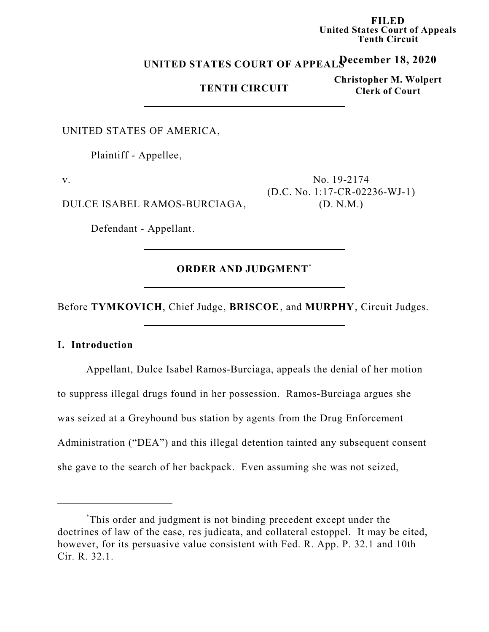**FILED United States Court of Appeals Tenth Circuit**

# **December 18, 2020 UNITED STATES COURT OF APPEALS**

## **TENTH CIRCUIT**

**Christopher M. Wolpert Clerk of Court**

UNITED STATES OF AMERICA,

Plaintiff - Appellee,

v.

DULCE ISABEL RAMOS-BURCIAGA,

Defendant - Appellant.

No. 19-2174 (D.C. No. 1:17-CR-02236-WJ-1) (D. N.M.)

## **ORDER AND JUDGMENT** \*

Before **TYMKOVICH**, Chief Judge, **BRISCOE**, and **MURPHY**, Circuit Judges.

#### **I. Introduction**

Appellant, Dulce Isabel Ramos-Burciaga, appeals the denial of her motion to suppress illegal drugs found in her possession. Ramos-Burciaga argues she was seized at a Greyhound bus station by agents from the Drug Enforcement Administration ("DEA") and this illegal detention tainted any subsequent consent she gave to the search of her backpack. Even assuming she was not seized,

<sup>\*</sup>This order and judgment is not binding precedent except under the doctrines of law of the case, res judicata, and collateral estoppel. It may be cited, however, for its persuasive value consistent with Fed. R. App. P. 32.1 and 10th Cir. R. 32.1.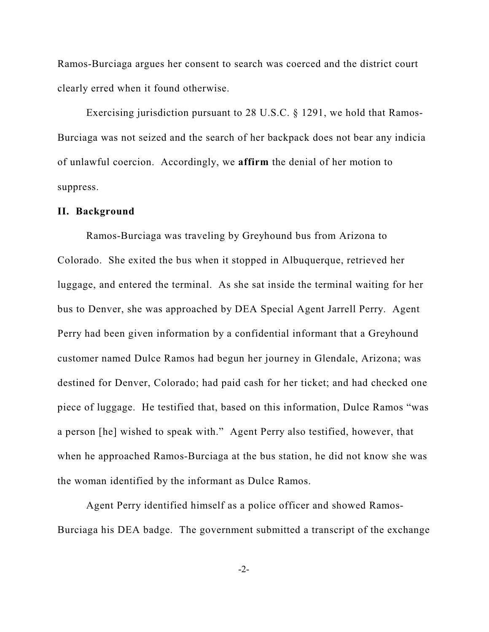Ramos-Burciaga argues her consent to search was coerced and the district court clearly erred when it found otherwise.

Exercising jurisdiction pursuant to 28 U.S.C. § 1291, we hold that Ramos-Burciaga was not seized and the search of her backpack does not bear any indicia of unlawful coercion. Accordingly, we **affirm** the denial of her motion to suppress.

#### **II. Background**

Ramos-Burciaga was traveling by Greyhound bus from Arizona to Colorado. She exited the bus when it stopped in Albuquerque, retrieved her luggage, and entered the terminal. As she sat inside the terminal waiting for her bus to Denver, she was approached by DEA Special Agent Jarrell Perry. Agent Perry had been given information by a confidential informant that a Greyhound customer named Dulce Ramos had begun her journey in Glendale, Arizona; was destined for Denver, Colorado; had paid cash for her ticket; and had checked one piece of luggage. He testified that, based on this information, Dulce Ramos "was a person [he] wished to speak with." Agent Perry also testified, however, that when he approached Ramos-Burciaga at the bus station, he did not know she was the woman identified by the informant as Dulce Ramos.

Agent Perry identified himself as a police officer and showed Ramos-Burciaga his DEA badge. The government submitted a transcript of the exchange

-2-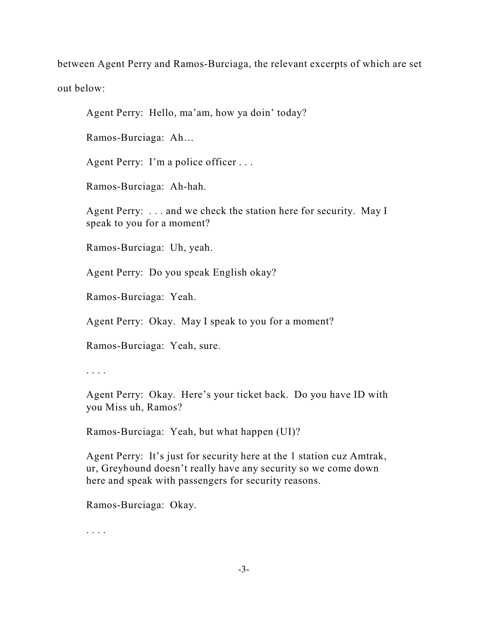between Agent Perry and Ramos-Burciaga, the relevant excerpts of which are set out below:

Agent Perry: Hello, ma'am, how ya doin' today?

Ramos-Burciaga: Ah…

Agent Perry: I'm a police officer . . .

Ramos-Burciaga: Ah-hah.

Agent Perry: . . . and we check the station here for security. May I speak to you for a moment?

Ramos-Burciaga: Uh, yeah.

Agent Perry: Do you speak English okay?

Ramos-Burciaga: Yeah.

Agent Perry: Okay. May I speak to you for a moment?

Ramos-Burciaga: Yeah, sure.

. . . .

Agent Perry: Okay. Here's your ticket back. Do you have ID with you Miss uh, Ramos?

Ramos-Burciaga: Yeah, but what happen (UI)?

Agent Perry: It's just for security here at the 1 station cuz Amtrak, ur, Greyhound doesn't really have any security so we come down here and speak with passengers for security reasons.

Ramos-Burciaga: Okay.

. . . .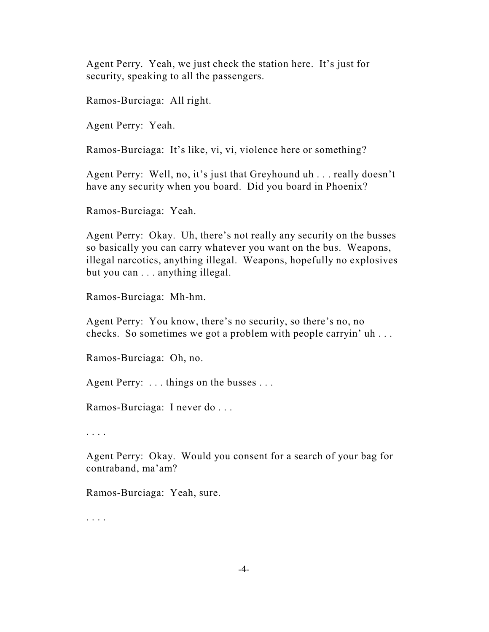Agent Perry. Yeah, we just check the station here. It's just for security, speaking to all the passengers.

Ramos-Burciaga: All right.

Agent Perry: Yeah.

Ramos-Burciaga: It's like, vi, vi, violence here or something?

Agent Perry: Well, no, it's just that Greyhound uh . . . really doesn't have any security when you board. Did you board in Phoenix?

Ramos-Burciaga: Yeah.

Agent Perry: Okay. Uh, there's not really any security on the busses so basically you can carry whatever you want on the bus. Weapons, illegal narcotics, anything illegal. Weapons, hopefully no explosives but you can . . . anything illegal.

Ramos-Burciaga: Mh-hm.

Agent Perry: You know, there's no security, so there's no, no checks. So sometimes we got a problem with people carryin' uh . . .

Ramos-Burciaga: Oh, no.

Agent Perry: . . . things on the busses . . .

Ramos-Burciaga: I never do . . .

. . . .

Agent Perry: Okay. Would you consent for a search of your bag for contraband, ma'am?

Ramos-Burciaga: Yeah, sure.

. . . .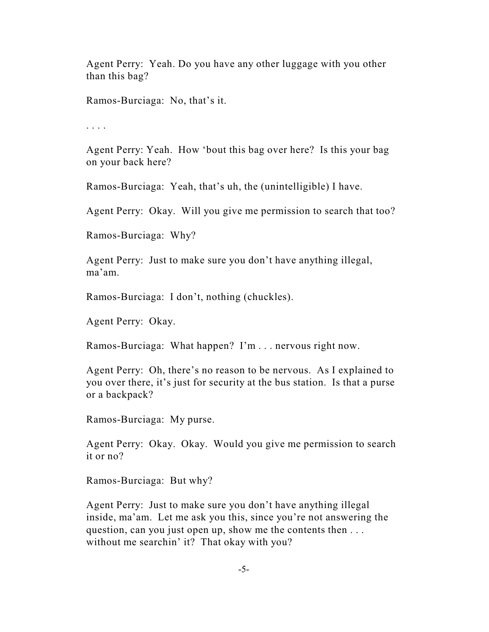Agent Perry: Yeah. Do you have any other luggage with you other than this bag?

Ramos-Burciaga: No, that's it.

. . . .

Agent Perry: Yeah. How 'bout this bag over here? Is this your bag on your back here?

Ramos-Burciaga: Yeah, that's uh, the (unintelligible) I have.

Agent Perry: Okay. Will you give me permission to search that too?

Ramos-Burciaga: Why?

Agent Perry: Just to make sure you don't have anything illegal, ma'am.

Ramos-Burciaga: I don't, nothing (chuckles).

Agent Perry: Okay.

Ramos-Burciaga: What happen? I'm . . . nervous right now.

Agent Perry: Oh, there's no reason to be nervous. As I explained to you over there, it's just for security at the bus station. Is that a purse or a backpack?

Ramos-Burciaga: My purse.

Agent Perry: Okay. Okay. Would you give me permission to search it or no?

Ramos-Burciaga: But why?

Agent Perry: Just to make sure you don't have anything illegal inside, ma'am. Let me ask you this, since you're not answering the question, can you just open up, show me the contents then . . . without me searchin' it? That okay with you?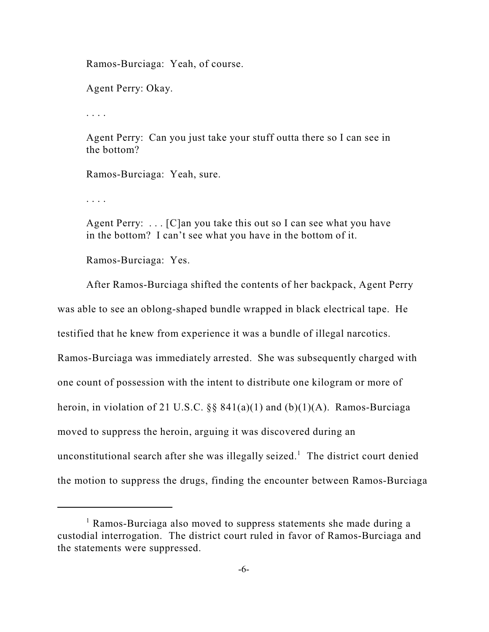Ramos-Burciaga: Yeah, of course.

Agent Perry: Okay.

. . . .

Agent Perry: Can you just take your stuff outta there so I can see in the bottom?

Ramos-Burciaga: Yeah, sure.

. . . .

Agent Perry:  $\dots$  [C]an you take this out so I can see what you have in the bottom? I can't see what you have in the bottom of it.

Ramos-Burciaga: Yes.

After Ramos-Burciaga shifted the contents of her backpack, Agent Perry was able to see an oblong-shaped bundle wrapped in black electrical tape. He testified that he knew from experience it was a bundle of illegal narcotics. Ramos-Burciaga was immediately arrested. She was subsequently charged with one count of possession with the intent to distribute one kilogram or more of heroin, in violation of 21 U.S.C.  $\S$ § 841(a)(1) and (b)(1)(A). Ramos-Burciaga moved to suppress the heroin, arguing it was discovered during an unconstitutional search after she was illegally seized. <sup>1</sup> The district court denied the motion to suppress the drugs, finding the encounter between Ramos-Burciaga

<sup>1</sup> Ramos-Burciaga also moved to suppress statements she made during a custodial interrogation. The district court ruled in favor of Ramos-Burciaga and the statements were suppressed.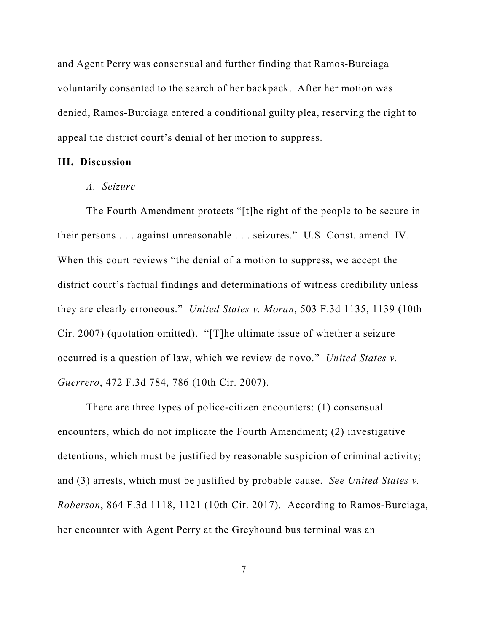and Agent Perry was consensual and further finding that Ramos-Burciaga voluntarily consented to the search of her backpack. After her motion was denied, Ramos-Burciaga entered a conditional guilty plea, reserving the right to appeal the district court's denial of her motion to suppress.

#### **III. Discussion**

#### *A. Seizure*

The Fourth Amendment protects "[t]he right of the people to be secure in their persons . . . against unreasonable . . . seizures." U.S. Const. amend. IV. When this court reviews "the denial of a motion to suppress, we accept the district court's factual findings and determinations of witness credibility unless they are clearly erroneous." *United States v. Moran*, 503 F.3d 1135, 1139 (10th Cir. 2007) (quotation omitted). "[T]he ultimate issue of whether a seizure occurred is a question of law, which we review de novo." *United States v. Guerrero*, 472 F.3d 784, 786 (10th Cir. 2007).

There are three types of police-citizen encounters: (1) consensual encounters, which do not implicate the Fourth Amendment; (2) investigative detentions, which must be justified by reasonable suspicion of criminal activity; and (3) arrests, which must be justified by probable cause. *See United States v. Roberson*, 864 F.3d 1118, 1121 (10th Cir. 2017). According to Ramos-Burciaga, her encounter with Agent Perry at the Greyhound bus terminal was an

-7-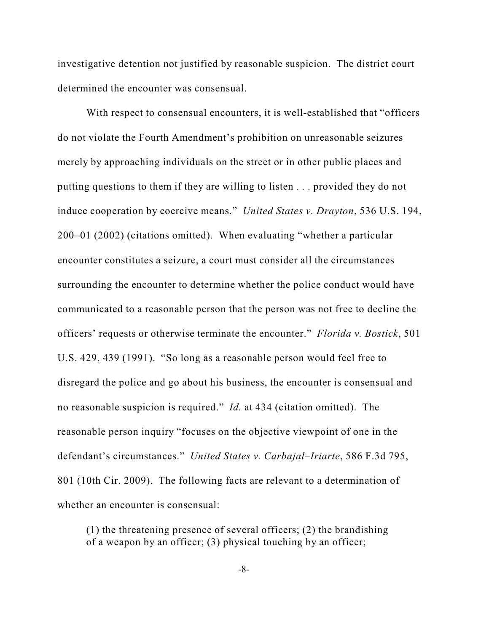investigative detention not justified by reasonable suspicion. The district court determined the encounter was consensual.

With respect to consensual encounters, it is well-established that "officers do not violate the Fourth Amendment's prohibition on unreasonable seizures merely by approaching individuals on the street or in other public places and putting questions to them if they are willing to listen . . . provided they do not induce cooperation by coercive means." *United States v. Drayton*, 536 U.S. 194, 200–01 (2002) (citations omitted). When evaluating "whether a particular encounter constitutes a seizure, a court must consider all the circumstances surrounding the encounter to determine whether the police conduct would have communicated to a reasonable person that the person was not free to decline the officers' requests or otherwise terminate the encounter." *Florida v. Bostick*, 501 U.S. 429, 439 (1991). "So long as a reasonable person would feel free to disregard the police and go about his business, the encounter is consensual and no reasonable suspicion is required." *Id.* at 434 (citation omitted). The reasonable person inquiry "focuses on the objective viewpoint of one in the defendant's circumstances." *United States v. Carbajal–Iriarte*, 586 F.3d 795, 801 (10th Cir. 2009). The following facts are relevant to a determination of whether an encounter is consensual:

(1) the threatening presence of several officers; (2) the brandishing of a weapon by an officer; (3) physical touching by an officer;

-8-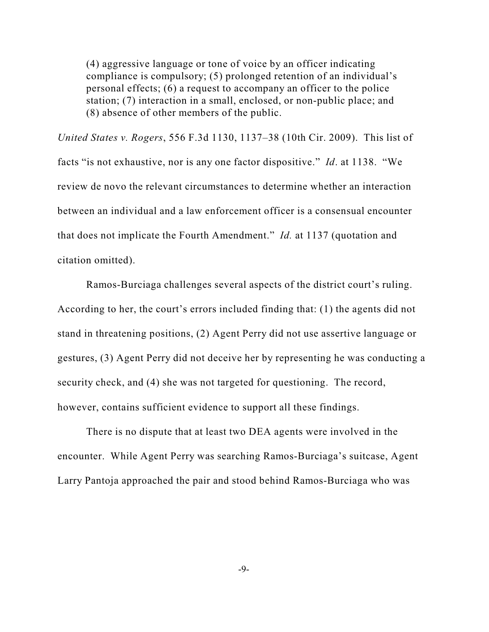(4) aggressive language or tone of voice by an officer indicating compliance is compulsory; (5) prolonged retention of an individual's personal effects; (6) a request to accompany an officer to the police station; (7) interaction in a small, enclosed, or non-public place; and (8) absence of other members of the public.

*United States v. Rogers*, 556 F.3d 1130, 1137–38 (10th Cir. 2009). This list of facts "is not exhaustive, nor is any one factor dispositive." *Id*. at 1138. "We review de novo the relevant circumstances to determine whether an interaction between an individual and a law enforcement officer is a consensual encounter that does not implicate the Fourth Amendment." *Id.* at 1137 (quotation and citation omitted).

Ramos-Burciaga challenges several aspects of the district court's ruling. According to her, the court's errors included finding that: (1) the agents did not stand in threatening positions, (2) Agent Perry did not use assertive language or gestures, (3) Agent Perry did not deceive her by representing he was conducting a security check, and (4) she was not targeted for questioning. The record, however, contains sufficient evidence to support all these findings.

There is no dispute that at least two DEA agents were involved in the encounter. While Agent Perry was searching Ramos-Burciaga's suitcase, Agent Larry Pantoja approached the pair and stood behind Ramos-Burciaga who was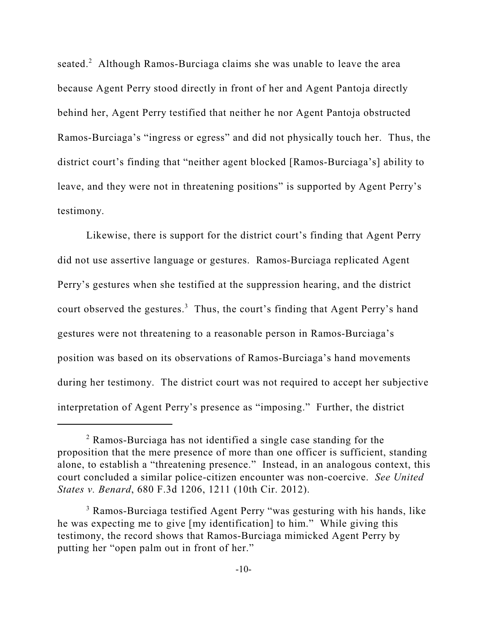seated.<sup>2</sup> Although Ramos-Burciaga claims she was unable to leave the area because Agent Perry stood directly in front of her and Agent Pantoja directly behind her, Agent Perry testified that neither he nor Agent Pantoja obstructed Ramos-Burciaga's "ingress or egress" and did not physically touch her. Thus, the district court's finding that "neither agent blocked [Ramos-Burciaga's] ability to leave, and they were not in threatening positions" is supported by Agent Perry's testimony.

Likewise, there is support for the district court's finding that Agent Perry did not use assertive language or gestures. Ramos-Burciaga replicated Agent Perry's gestures when she testified at the suppression hearing, and the district court observed the gestures.<sup>3</sup> Thus, the court's finding that Agent Perry's hand gestures were not threatening to a reasonable person in Ramos-Burciaga's position was based on its observations of Ramos-Burciaga's hand movements during her testimony. The district court was not required to accept her subjective interpretation of Agent Perry's presence as "imposing." Further, the district

<sup>2</sup> Ramos-Burciaga has not identified a single case standing for the proposition that the mere presence of more than one officer is sufficient, standing alone, to establish a "threatening presence." Instead, in an analogous context, this court concluded a similar police-citizen encounter was non-coercive. *See United States v. Benard*, 680 F.3d 1206, 1211 (10th Cir. 2012).

<sup>&</sup>lt;sup>3</sup> Ramos-Burciaga testified Agent Perry "was gesturing with his hands, like he was expecting me to give [my identification] to him." While giving this testimony, the record shows that Ramos-Burciaga mimicked Agent Perry by putting her "open palm out in front of her."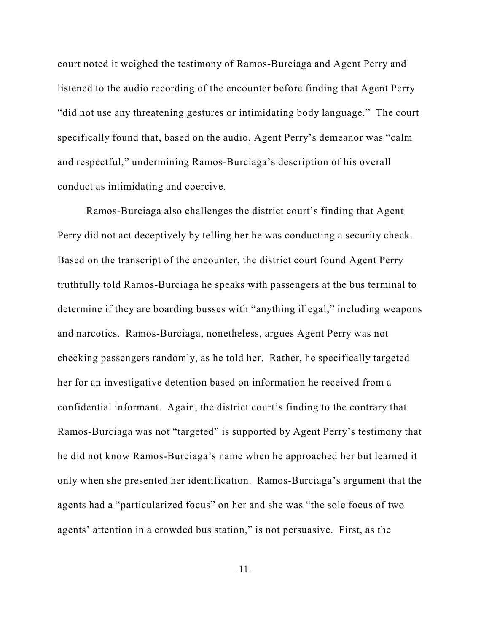court noted it weighed the testimony of Ramos-Burciaga and Agent Perry and listened to the audio recording of the encounter before finding that Agent Perry "did not use any threatening gestures or intimidating body language." The court specifically found that, based on the audio, Agent Perry's demeanor was "calm and respectful," undermining Ramos-Burciaga's description of his overall conduct as intimidating and coercive.

Ramos-Burciaga also challenges the district court's finding that Agent Perry did not act deceptively by telling her he was conducting a security check. Based on the transcript of the encounter, the district court found Agent Perry truthfully told Ramos-Burciaga he speaks with passengers at the bus terminal to determine if they are boarding busses with "anything illegal," including weapons and narcotics. Ramos-Burciaga, nonetheless, argues Agent Perry was not checking passengers randomly, as he told her. Rather, he specifically targeted her for an investigative detention based on information he received from a confidential informant. Again, the district court's finding to the contrary that Ramos-Burciaga was not "targeted" is supported by Agent Perry's testimony that he did not know Ramos-Burciaga's name when he approached her but learned it only when she presented her identification. Ramos-Burciaga's argument that the agents had a "particularized focus" on her and she was "the sole focus of two agents' attention in a crowded bus station," is not persuasive. First, as the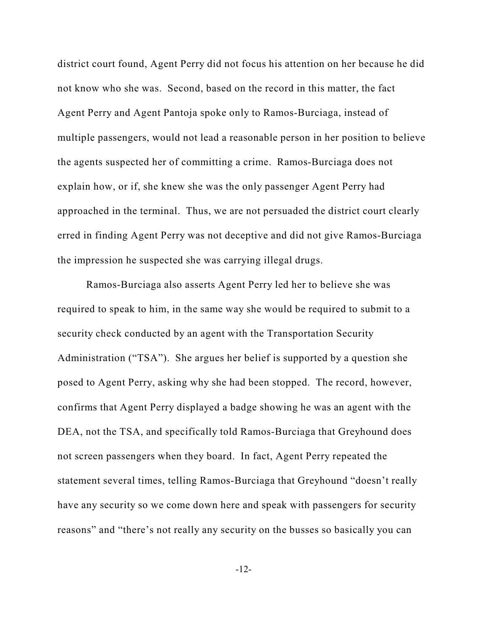district court found, Agent Perry did not focus his attention on her because he did not know who she was. Second, based on the record in this matter, the fact Agent Perry and Agent Pantoja spoke only to Ramos-Burciaga, instead of multiple passengers, would not lead a reasonable person in her position to believe the agents suspected her of committing a crime. Ramos-Burciaga does not explain how, or if, she knew she was the only passenger Agent Perry had approached in the terminal. Thus, we are not persuaded the district court clearly erred in finding Agent Perry was not deceptive and did not give Ramos-Burciaga the impression he suspected she was carrying illegal drugs.

Ramos-Burciaga also asserts Agent Perry led her to believe she was required to speak to him, in the same way she would be required to submit to a security check conducted by an agent with the Transportation Security Administration ("TSA"). She argues her belief is supported by a question she posed to Agent Perry, asking why she had been stopped. The record, however, confirms that Agent Perry displayed a badge showing he was an agent with the DEA, not the TSA, and specifically told Ramos-Burciaga that Greyhound does not screen passengers when they board. In fact, Agent Perry repeated the statement several times, telling Ramos-Burciaga that Greyhound "doesn't really have any security so we come down here and speak with passengers for security reasons" and "there's not really any security on the busses so basically you can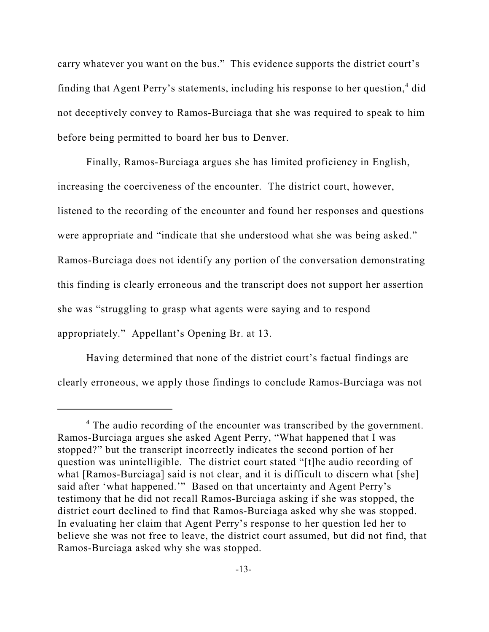carry whatever you want on the bus." This evidence supports the district court's finding that Agent Perry's statements, including his response to her question, 4 did not deceptively convey to Ramos-Burciaga that she was required to speak to him before being permitted to board her bus to Denver.

Finally, Ramos-Burciaga argues she has limited proficiency in English, increasing the coerciveness of the encounter. The district court, however, listened to the recording of the encounter and found her responses and questions were appropriate and "indicate that she understood what she was being asked." Ramos-Burciaga does not identify any portion of the conversation demonstrating this finding is clearly erroneous and the transcript does not support her assertion she was "struggling to grasp what agents were saying and to respond appropriately." Appellant's Opening Br. at 13.

Having determined that none of the district court's factual findings are clearly erroneous, we apply those findings to conclude Ramos-Burciaga was not

<sup>&</sup>lt;sup>4</sup> The audio recording of the encounter was transcribed by the government. Ramos-Burciaga argues she asked Agent Perry, "What happened that I was stopped?" but the transcript incorrectly indicates the second portion of her question was unintelligible. The district court stated "[t]he audio recording of what [Ramos-Burciaga] said is not clear, and it is difficult to discern what [she] said after 'what happened.'" Based on that uncertainty and Agent Perry's testimony that he did not recall Ramos-Burciaga asking if she was stopped, the district court declined to find that Ramos-Burciaga asked why she was stopped. In evaluating her claim that Agent Perry's response to her question led her to believe she was not free to leave, the district court assumed, but did not find, that Ramos-Burciaga asked why she was stopped.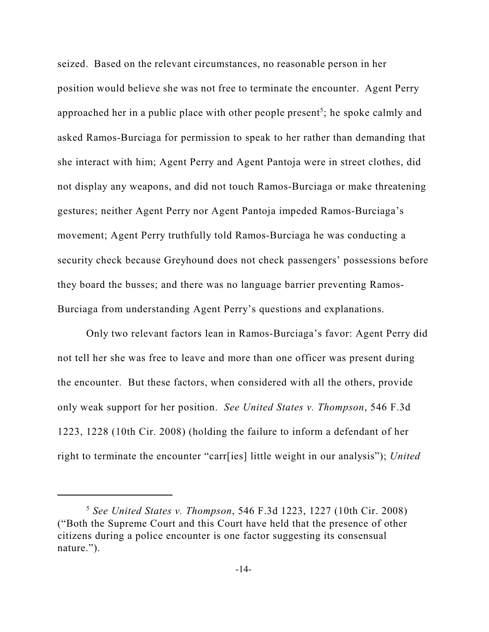seized. Based on the relevant circumstances, no reasonable person in her position would believe she was not free to terminate the encounter. Agent Perry approached her in a public place with other people present<sup>5</sup>; he spoke calmly and asked Ramos-Burciaga for permission to speak to her rather than demanding that she interact with him; Agent Perry and Agent Pantoja were in street clothes, did not display any weapons, and did not touch Ramos-Burciaga or make threatening gestures; neither Agent Perry nor Agent Pantoja impeded Ramos-Burciaga's movement; Agent Perry truthfully told Ramos-Burciaga he was conducting a security check because Greyhound does not check passengers' possessions before they board the busses; and there was no language barrier preventing Ramos-Burciaga from understanding Agent Perry's questions and explanations.

Only two relevant factors lean in Ramos-Burciaga's favor: Agent Perry did not tell her she was free to leave and more than one officer was present during the encounter. But these factors, when considered with all the others, provide only weak support for her position. *See United States v. Thompson*, 546 F.3d 1223, 1228 (10th Cir. 2008) (holding the failure to inform a defendant of her right to terminate the encounter "carr[ies] little weight in our analysis"); *United*

<sup>5</sup> *See United States v. Thompson*, 546 F.3d 1223, 1227 (10th Cir. 2008) ("Both the Supreme Court and this Court have held that the presence of other citizens during a police encounter is one factor suggesting its consensual nature.").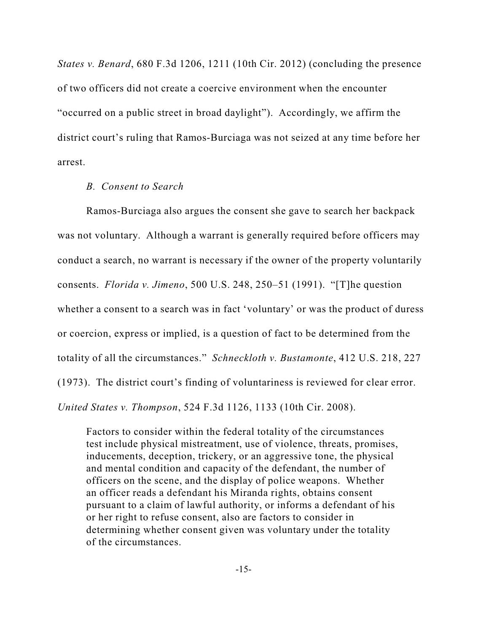*States v. Benard*, 680 F.3d 1206, 1211 (10th Cir. 2012) (concluding the presence of two officers did not create a coercive environment when the encounter "occurred on a public street in broad daylight"). Accordingly, we affirm the district court's ruling that Ramos-Burciaga was not seized at any time before her arrest.

#### *B. Consent to Search*

Ramos-Burciaga also argues the consent she gave to search her backpack was not voluntary. Although a warrant is generally required before officers may conduct a search, no warrant is necessary if the owner of the property voluntarily consents. *Florida v. Jimeno*, 500 U.S. 248, 250–51 (1991). "[T]he question whether a consent to a search was in fact 'voluntary' or was the product of duress or coercion, express or implied, is a question of fact to be determined from the totality of all the circumstances." *Schneckloth v. Bustamonte*, 412 U.S. 218, 227 (1973). The district court's finding of voluntariness is reviewed for clear error. *United States v. Thompson*, 524 F.3d 1126, 1133 (10th Cir. 2008).

Factors to consider within the federal totality of the circumstances test include physical mistreatment, use of violence, threats, promises, inducements, deception, trickery, or an aggressive tone, the physical and mental condition and capacity of the defendant, the number of officers on the scene, and the display of police weapons. Whether an officer reads a defendant his Miranda rights, obtains consent pursuant to a claim of lawful authority, or informs a defendant of his or her right to refuse consent, also are factors to consider in determining whether consent given was voluntary under the totality of the circumstances.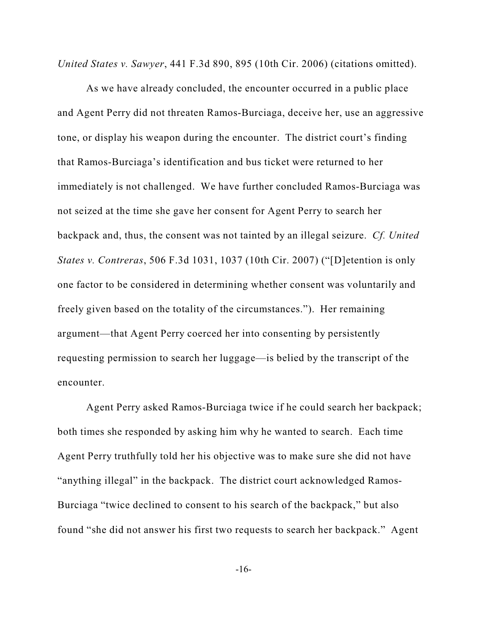*United States v. Sawyer*, 441 F.3d 890, 895 (10th Cir. 2006) (citations omitted).

As we have already concluded, the encounter occurred in a public place and Agent Perry did not threaten Ramos-Burciaga, deceive her, use an aggressive tone, or display his weapon during the encounter. The district court's finding that Ramos-Burciaga's identification and bus ticket were returned to her immediately is not challenged. We have further concluded Ramos-Burciaga was not seized at the time she gave her consent for Agent Perry to search her backpack and, thus, the consent was not tainted by an illegal seizure. *Cf. United States v. Contreras*, 506 F.3d 1031, 1037 (10th Cir. 2007) ("[D]etention is only one factor to be considered in determining whether consent was voluntarily and freely given based on the totality of the circumstances."). Her remaining argument—that Agent Perry coerced her into consenting by persistently requesting permission to search her luggage—is belied by the transcript of the encounter.

Agent Perry asked Ramos-Burciaga twice if he could search her backpack; both times she responded by asking him why he wanted to search. Each time Agent Perry truthfully told her his objective was to make sure she did not have "anything illegal" in the backpack. The district court acknowledged Ramos-Burciaga "twice declined to consent to his search of the backpack," but also found "she did not answer his first two requests to search her backpack." Agent

-16-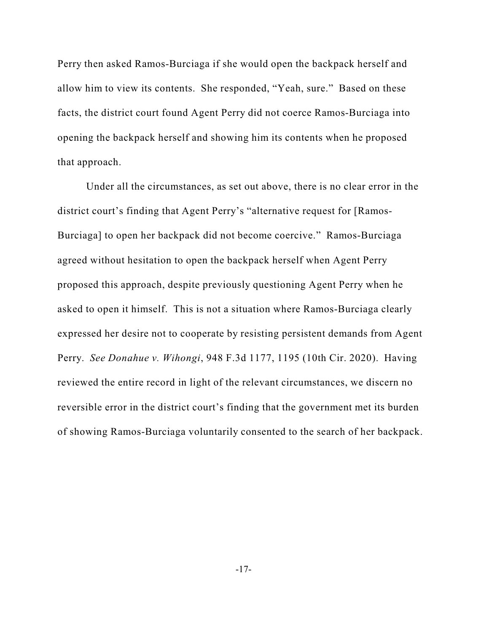Perry then asked Ramos-Burciaga if she would open the backpack herself and allow him to view its contents. She responded, "Yeah, sure." Based on these facts, the district court found Agent Perry did not coerce Ramos-Burciaga into opening the backpack herself and showing him its contents when he proposed that approach.

Under all the circumstances, as set out above, there is no clear error in the district court's finding that Agent Perry's "alternative request for [Ramos-Burciaga] to open her backpack did not become coercive." Ramos-Burciaga agreed without hesitation to open the backpack herself when Agent Perry proposed this approach, despite previously questioning Agent Perry when he asked to open it himself. This is not a situation where Ramos-Burciaga clearly expressed her desire not to cooperate by resisting persistent demands from Agent Perry. *See Donahue v. Wihongi*, 948 F.3d 1177, 1195 (10th Cir. 2020). Having reviewed the entire record in light of the relevant circumstances, we discern no reversible error in the district court's finding that the government met its burden of showing Ramos-Burciaga voluntarily consented to the search of her backpack.